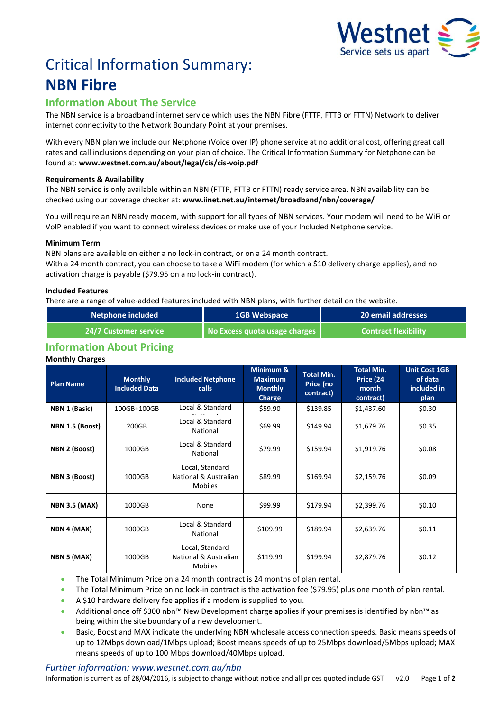

# Critical Information Summary: **NBN Fibre**

# **Information About The Service**

The NBN service is a broadband internet service which uses the NBNFibre (FTTP, FTTB or FTTN) Network to deliver internet connectivity to the Network Boundary Point at your premises.

With every NBN plan we include our Netphone (Voice over IP) phone service at no additional cost, offering great call rates and call inclusions depending on your plan of choice. The Critical Information Summary for Netphone can be found at: **www.westnet.com.au/about/legal/cis/cis-voip.pdf**

# **Requirements & Availability**

The NBN service is only available within an NBN (FTTP, FTTB or FTTN) ready service area. NBN availability can be checked using our coverage checker at: **www.iinet.net.au/internet/broadband/nbn/coverage/**

You will require an NBN ready modem, with support for all types of NBN services. Your modem will need to be WiFi or VoIP enabled if you want to connect wireless devices or make use of your Included Netphone service.

# **Minimum Term**

NBN plans are available on either a no lock-in contract, or on a 24 month contract. With a 24 month contract, you can choose to take a WiFi modem (for which a \$10 delivery charge applies), and no activation charge is payable (\$79.95 on a no lock-in contract).

# **Included Features**

There are a range of value-added features included with NBN plans, with further detail on the website.

| <b>Netphone included</b>     | <b>1GB Webspace</b>           | 20 email addresses          |  |
|------------------------------|-------------------------------|-----------------------------|--|
| <b>24/7 Customer service</b> | No Excess quota usage charges | <b>Contract flexibility</b> |  |

# **Information About Pricing**

# **Monthly Charges**

| <b>Plan Name</b>     | <b>Monthly</b><br><b>Included Data</b> | <b>Included Netphone</b><br><b>calls</b>                   | Minimum &<br><b>Maximum</b><br><b>Monthly</b><br><b>Charge</b> | <b>Total Min.</b><br>Price (no<br>contract) | <b>Total Min.</b><br>Price (24<br>month<br>contract) | <b>Unit Cost 1GB</b><br>of data<br>included in<br>plan |
|----------------------|----------------------------------------|------------------------------------------------------------|----------------------------------------------------------------|---------------------------------------------|------------------------------------------------------|--------------------------------------------------------|
| NBN 1 (Basic)        | 100GB+100GB                            | Local & Standard                                           | \$59.90                                                        | \$139.85                                    | \$1,437.60                                           | \$0.30                                                 |
| NBN 1.5 (Boost)      | 200GB                                  | Local & Standard<br>National                               | \$69.99                                                        | \$149.94                                    | \$1,679.76                                           | \$0.35                                                 |
| NBN 2 (Boost)        | 1000GB                                 | Local & Standard<br>National                               | \$79.99                                                        | \$159.94                                    | \$1,919.76                                           | \$0.08                                                 |
| NBN 3 (Boost)        | 1000GB                                 | Local, Standard<br>National & Australian<br><b>Mobiles</b> | \$89.99                                                        | \$169.94                                    | \$2,159.76                                           | \$0.09                                                 |
| <b>NBN 3.5 (MAX)</b> | 1000GB                                 | None                                                       | \$99.99                                                        | \$179.94                                    | \$2,399.76                                           | \$0.10                                                 |
| NBN 4 (MAX)          | 1000GB                                 | Local & Standard<br>National                               | \$109.99                                                       | \$189.94                                    | \$2,639.76                                           | \$0.11                                                 |
| NBN 5 (MAX)          | 1000GB                                 | Local, Standard<br>National & Australian<br><b>Mobiles</b> | \$119.99                                                       | \$199.94                                    | \$2,879.76                                           | \$0.12                                                 |

The Total Minimum Price on a 24 month contract is 24 months of plan rental.

The Total Minimum Price on no lock-in contract is the activation fee (\$79.95) plus one month of plan rental.

A \$10 hardware delivery fee applies if a modem is supplied to you.

- Additional once off \$300 nbn™ New Development charge applies if your premises is identified by nbn™ as being within the site boundary of a new development.
- Basic, Boost and MAX indicate the underlying NBN wholesale access connection speeds. Basic means speeds of up to 12Mbps download/1Mbps upload; Boost means speeds of up to 25Mbps download/5Mbps upload; MAX means speeds of up to 100 Mbps download/40Mbps upload.

# *Further information: www.westnet.com.au/nbn*

Information is current as of 28/04/2016, is subject to change without notice and all prices quoted include GST v2.0 Page **1** of **2**